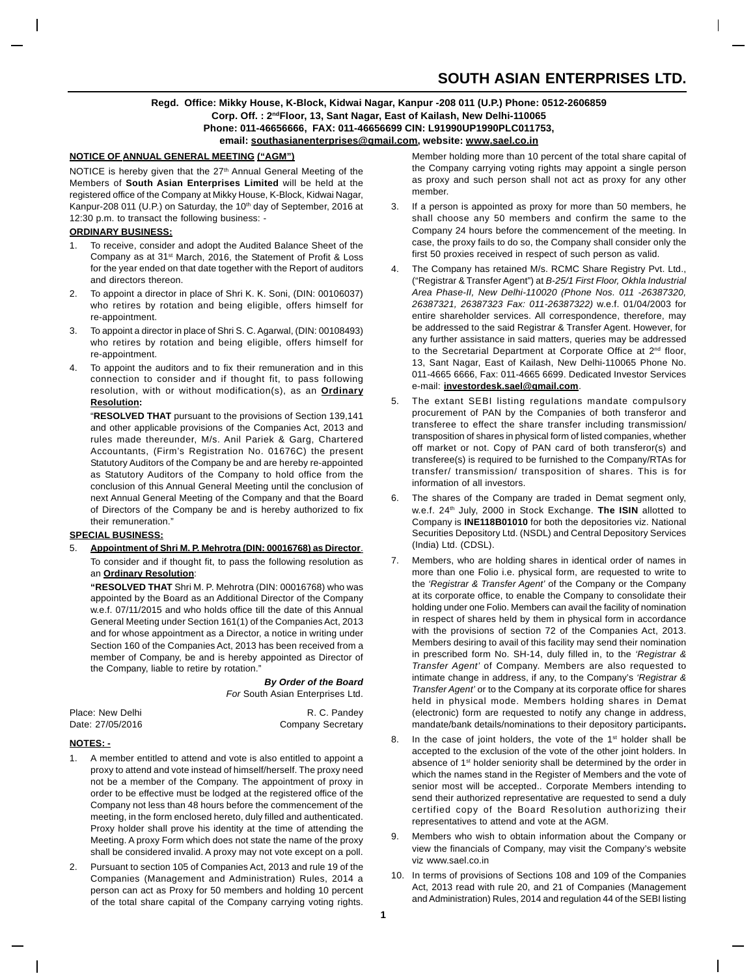## **SOUTH ASIAN ENTERPRISES LTD.**

### **Regd. Office: Mikky House, K-Block, Kidwai Nagar, Kanpur -208 011 (U.P.) Phone: 0512-2606859 Corp. Off. : 2ndFloor, 13, Sant Nagar, East of Kailash, New Delhi-110065 Phone: 011-46656666, FAX: 011-46656699 CIN: L91990UP1990PLC011753, email: southasianenterprises@gmail.com, website: www.sael.co.in**

#### **NOTICE OF ANNUAL GENERAL MEETING ("AGM")**

NOTICE is hereby given that the 27<sup>th</sup> Annual General Meeting of the Members of **South Asian Enterprises Limited** will be held at the registered office of the Company at Mikky House, K-Block, Kidwai Nagar, Kanpur-208 011 (U.P.) on Saturday, the 10<sup>th</sup> day of September, 2016 at 12:30 p.m. to transact the following business: -

## **ORDINARY BUSINESS:**

- To receive, consider and adopt the Audited Balance Sheet of the Company as at 31<sup>st</sup> March, 2016, the Statement of Profit & Loss for the year ended on that date together with the Report of auditors and directors thereon.
- 2. To appoint a director in place of Shri K. K. Soni, (DIN: 00106037) who retires by rotation and being eligible, offers himself for re-appointment.
- 3. To appoint a director in place of Shri S. C. Agarwal, (DIN: 00108493) who retires by rotation and being eligible, offers himself for re-appointment.
- 4. To appoint the auditors and to fix their remuneration and in this connection to consider and if thought fit, to pass following resolution, with or without modification(s), as an **Ordinary Resolution:**

"**RESOLVED THAT** pursuant to the provisions of Section 139,141 and other applicable provisions of the Companies Act, 2013 and rules made thereunder, M/s. Anil Pariek & Garg, Chartered Accountants, (Firm's Registration No. 01676C) the present Statutory Auditors of the Company be and are hereby re-appointed as Statutory Auditors of the Company to hold office from the conclusion of this Annual General Meeting until the conclusion of next Annual General Meeting of the Company and that the Board of Directors of the Company be and is hereby authorized to fix their remuneration."

#### **SPECIAL BUSINESS:**

5. **Appointment of Shri M. P. Mehrotra (DIN: 00016768) as Director**. To consider and if thought fit, to pass the following resolution as an **Ordinary Resolution**:

**"RESOLVED THAT** Shri M. P. Mehrotra (DIN: 00016768) who was appointed by the Board as an Additional Director of the Company w.e.f. 07/11/2015 and who holds office till the date of this Annual General Meeting under Section 161(1) of the Companies Act, 2013 and for whose appointment as a Director, a notice in writing under Section 160 of the Companies Act, 2013 has been received from a member of Company, be and is hereby appointed as Director of the Company, liable to retire by rotation.'

> *By Order of the Board For* South Asian Enterprises Ltd.

| Place: New Delhi | R. C. Pandey             |
|------------------|--------------------------|
| Date: 27/05/2016 | <b>Company Secretary</b> |

#### **NOTES: -**

- 1. A member entitled to attend and vote is also entitled to appoint a proxy to attend and vote instead of himself/herself. The proxy need not be a member of the Company. The appointment of proxy in order to be effective must be lodged at the registered office of the Company not less than 48 hours before the commencement of the meeting, in the form enclosed hereto, duly filled and authenticated. Proxy holder shall prove his identity at the time of attending the Meeting. A proxy Form which does not state the name of the proxy shall be considered invalid. A proxy may not vote except on a poll.
- Pursuant to section 105 of Companies Act, 2013 and rule 19 of the Companies (Management and Administration) Rules, 2014 a person can act as Proxy for 50 members and holding 10 percent of the total share capital of the Company carrying voting rights.

Member holding more than 10 percent of the total share capital of the Company carrying voting rights may appoint a single person as proxy and such person shall not act as proxy for any other member.

- 3. If a person is appointed as proxy for more than 50 members, he shall choose any 50 members and confirm the same to the Company 24 hours before the commencement of the meeting. In case, the proxy fails to do so, the Company shall consider only the first 50 proxies received in respect of such person as valid.
- The Company has retained M/s. RCMC Share Registry Pvt. Ltd., ("Registrar & Transfer Agent") at *B-25/1 First Floor, Okhla Industrial Area Phase-II, New Delhi-110020 (Phone Nos. 011 -26387320, 26387321, 26387323 Fax: 011-26387322)* w.e.f. 01/04/2003 for entire shareholder services. All correspondence, therefore, may be addressed to the said Registrar & Transfer Agent. However, for any further assistance in said matters, queries may be addressed to the Secretarial Department at Corporate Office at 2<sup>nd</sup> floor, 13, Sant Nagar, East of Kailash, New Delhi-110065 Phone No. 011-4665 6666, Fax: 011-4665 6699. Dedicated Investor Services e-mail: **investordesk.sael@gmail.com**.
- The extant SEBI listing regulations mandate compulsory procurement of PAN by the Companies of both transferor and transferee to effect the share transfer including transmission/ transposition of shares in physical form of listed companies, whether off market or not. Copy of PAN card of both transferor(s) and transferee(s) is required to be furnished to the Company/RTAs for transfer/ transmission/ transposition of shares. This is for information of all investors.
- The shares of the Company are traded in Demat segment only, w.e.f. 24<sup>th</sup> July, 2000 in Stock Exchange. The ISIN allotted to Company is **INE118B01010** for both the depositories viz. National Securities Depository Ltd. (NSDL) and Central Depository Services (India) Ltd. (CDSL).
- 7. Members, who are holding shares in identical order of names in more than one Folio i.e. physical form, are requested to write to the *'Registrar & Transfer Agent'* of the Company or the Company at its corporate office, to enable the Company to consolidate their holding under one Folio. Members can avail the facility of nomination in respect of shares held by them in physical form in accordance with the provisions of section 72 of the Companies Act, 2013. Members desiring to avail of this facility may send their nomination in prescribed form No. SH-14, duly filled in, to the *'Registrar & Transfer Agent'* of Company. Members are also requested to intimate change in address, if any, to the Company's *'Registrar & Transfer Agent'* or to the Company at its corporate office for shares held in physical mode. Members holding shares in Demat (electronic) form are requested to notify any change in address, mandate/bank details/nominations to their depository participants**.**
- 8. In the case of joint holders, the vote of the 1<sup>st</sup> holder shall be accepted to the exclusion of the vote of the other joint holders. In absence of 1<sup>st</sup> holder seniority shall be determined by the order in which the names stand in the Register of Members and the vote of senior most will be accepted.. Corporate Members intending to send their authorized representative are requested to send a duly certified copy of the Board Resolution authorizing their representatives to attend and vote at the AGM.
- Members who wish to obtain information about the Company or view the financials of Company, may visit the Company's website viz www.sael.co.in
- 10. In terms of provisions of Sections 108 and 109 of the Companies Act, 2013 read with rule 20, and 21 of Companies (Management and Administration) Rules, 2014 and regulation 44 of the SEBI listing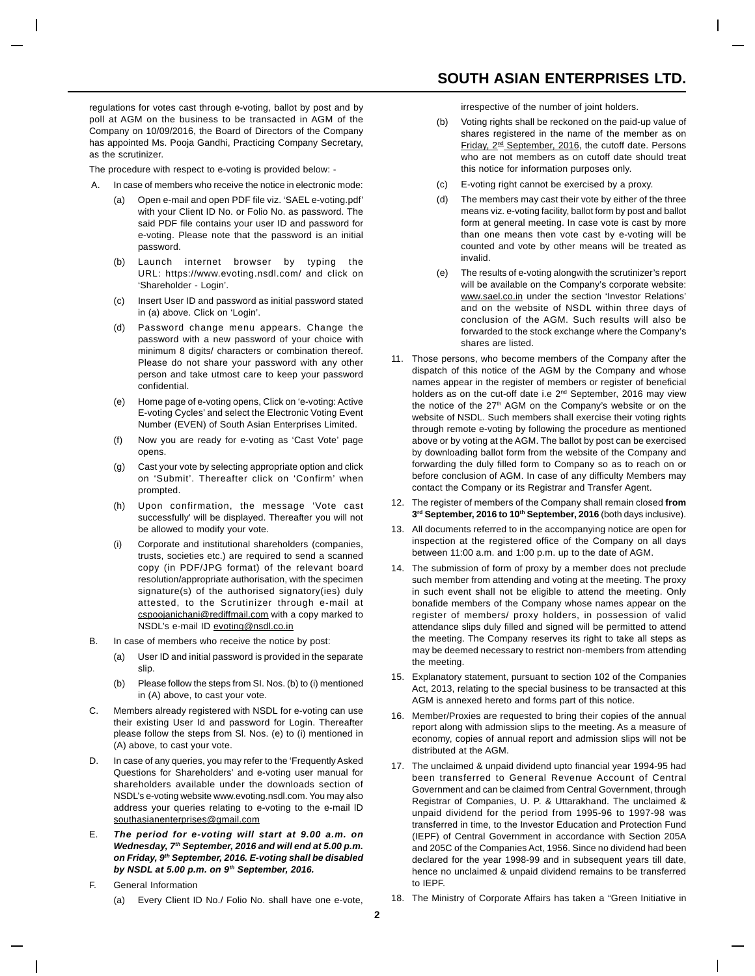## **SOUTH ASIAN ENTERPRISES LTD.**

regulations for votes cast through e-voting, ballot by post and by poll at AGM on the business to be transacted in AGM of the Company on 10/09/2016, the Board of Directors of the Company has appointed Ms. Pooja Gandhi, Practicing Company Secretary, as the scrutinizer.

The procedure with respect to e-voting is provided below: -

- In case of members who receive the notice in electronic mode:
	- (a) Open e-mail and open PDF file viz. 'SAEL e-voting.pdf' with your Client ID No. or Folio No. as password. The said PDF file contains your user ID and password for e-voting. Please note that the password is an initial password.
	- (b) Launch internet browser by typing the URL: https://www.evoting.nsdl.com/ and click on 'Shareholder - Login'.
	- (c) Insert User ID and password as initial password stated in (a) above. Click on 'Login'.
	- (d) Password change menu appears. Change the password with a new password of your choice with minimum 8 digits/ characters or combination thereof. Please do not share your password with any other person and take utmost care to keep your password confidential.
	- (e) Home page of e-voting opens, Click on 'e-voting: Active E-voting Cycles' and select the Electronic Voting Event Number (EVEN) of South Asian Enterprises Limited.
	- (f) Now you are ready for e-voting as 'Cast Vote' page opens.
	- (g) Cast your vote by selecting appropriate option and click on 'Submit'. Thereafter click on 'Confirm' when prompted.
	- (h) Upon confirmation, the message 'Vote cast successfully' will be displayed. Thereafter you will not be allowed to modify your vote.
	- (i) Corporate and institutional shareholders (companies, trusts, societies etc.) are required to send a scanned copy (in PDF/JPG format) of the relevant board resolution/appropriate authorisation, with the specimen signature(s) of the authorised signatory(ies) duly attested, to the Scrutinizer through e-mail at cspoojanichani@rediffmail.com with a copy marked to NSDL's e-mail ID evoting@nsdl.co.in
- B. In case of members who receive the notice by post:
	- (a) User ID and initial password is provided in the separate slip.
	- (b) Please follow the steps from SI. Nos. (b) to (i) mentioned in (A) above, to cast your vote.
- C. Members already registered with NSDL for e-voting can use their existing User Id and password for Login. Thereafter please follow the steps from Sl. Nos. (e) to (i) mentioned in (A) above, to cast your vote.
- In case of any queries, you may refer to the 'Frequently Asked Questions for Shareholders' and e-voting user manual for shareholders available under the downloads section of NSDL's e-voting website www.evoting.nsdl.com. You may also address your queries relating to e-voting to the e-mail lD southasianenterprises@gmail.com
- E. *The period for e-voting will start at 9.00 a.m. on Wednesday, 7th September, 2016 and will end at 5.00 p.m. on Friday, 9th September, 2016. E-voting shall be disabled by NSDL at 5.00 p.m. on 9th September, 2016.*
- F. General Information
	- (a) Every Client ID No./ Folio No. shall have one e-vote,

irrespective of the number of joint holders.

- (b) Voting rights shall be reckoned on the paid-up value of shares registered in the name of the member as on Friday, 2<sup>nd</sup> September, 2016, the cutoff date. Persons who are not members as on cutoff date should treat this notice for information purposes only.
- (c) E-voting right cannot be exercised by a proxy.
- (d) The members may cast their vote by either of the three means viz. e-voting facility, ballot form by post and ballot form at general meeting. In case vote is cast by more than one means then vote cast by e-voting will be counted and vote by other means will be treated as invalid.
- (e) The results of e-voting alongwith the scrutinizer's report will be available on the Company's corporate website: www.sael.co.in under the section 'Investor Relations' and on the website of NSDL within three days of conclusion of the AGM. Such results will also be forwarded to the stock exchange where the Company's shares are listed.
- 11. Those persons, who become members of the Company after the dispatch of this notice of the AGM by the Company and whose names appear in the register of members or register of beneficial holders as on the cut-off date i.e 2<sup>nd</sup> September, 2016 may view the notice of the 27<sup>th</sup> AGM on the Company's website or on the website of NSDL. Such members shall exercise their voting rights through remote e-voting by following the procedure as mentioned above or by voting at the AGM. The ballot by post can be exercised by downloading ballot form from the website of the Company and forwarding the duly filled form to Company so as to reach on or before conclusion of AGM. In case of any difficulty Members may contact the Company or its Registrar and Transfer Agent.
- 12. The register of members of the Company shall remain closed **from** 3<sup>rd</sup> September, 2016 to 10<sup>th</sup> September, 2016 (both days inclusive).
- 13. All documents referred to in the accompanying notice are open for inspection at the registered office of the Company on all days between 11:00 a.m. and 1:00 p.m. up to the date of AGM.
- 14. The submission of form of proxy by a member does not preclude such member from attending and voting at the meeting. The proxy in such event shall not be eligible to attend the meeting. Only bonafide members of the Company whose names appear on the register of members/ proxy holders, in possession of valid attendance slips duly filled and signed will be permitted to attend the meeting. The Company reserves its right to take all steps as may be deemed necessary to restrict non-members from attending the meeting.
- 15. Explanatory statement, pursuant to section 102 of the Companies Act, 2013, relating to the special business to be transacted at this AGM is annexed hereto and forms part of this notice.
- 16. Member/Proxies are requested to bring their copies of the annual report along with admission slips to the meeting. As a measure of economy, copies of annual report and admission slips will not be distributed at the AGM.
- 17. The unclaimed & unpaid dividend upto financial year 1994-95 had been transferred to General Revenue Account of Central Government and can be claimed from Central Government, through Registrar of Companies, U. P. & Uttarakhand. The unclaimed & unpaid dividend for the period from 1995-96 to 1997-98 was transferred in time, to the Investor Education and Protection Fund (IEPF) of Central Government in accordance with Section 205A and 205C of the Companies Act, 1956. Since no dividend had been declared for the year 1998-99 and in subsequent years till date, hence no unclaimed & unpaid dividend remains to be transferred to IEPF.
- 18. The Ministry of Corporate Affairs has taken a "Green Initiative in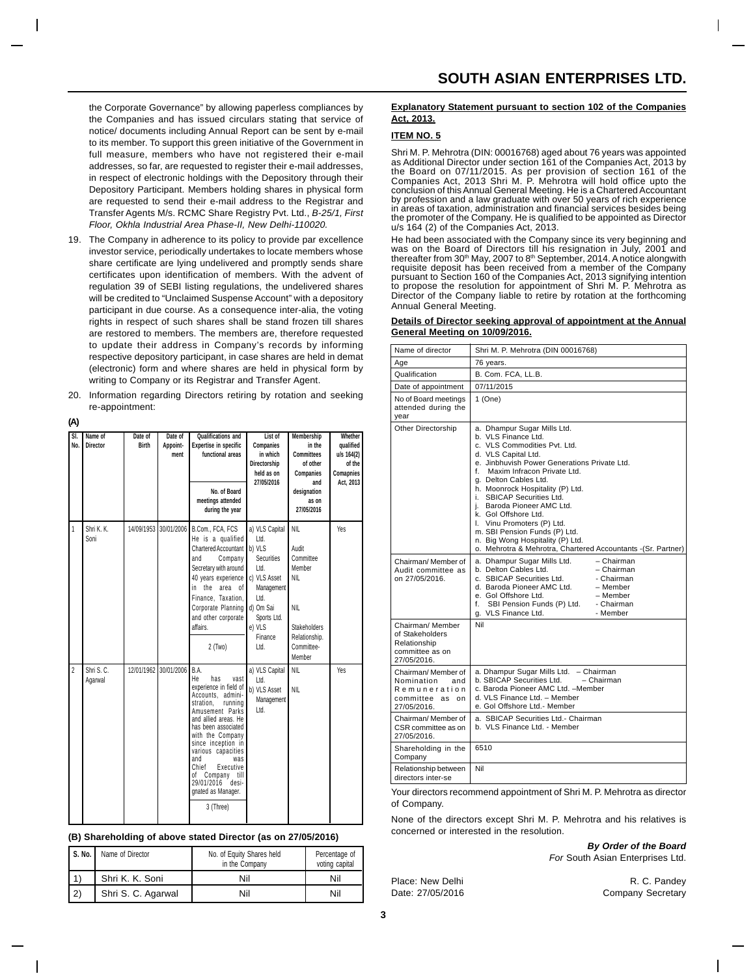the Corporate Governance" by allowing paperless compliances by the Companies and has issued circulars stating that service of notice/ documents including Annual Report can be sent by e-mail to its member. To support this green initiative of the Government in full measure, members who have not registered their e-mail addresses, so far, are requested to register their e-mail addresses, in respect of electronic holdings with the Depository through their Depository Participant. Members holding shares in physical form are requested to send their e-mail address to the Registrar and Transfer Agents M/s. RCMC Share Registry Pvt. Ltd., *B-25/1, First Floor, Okhla Industrial Area Phase-II, New Delhi-110020.*

- 19. The Company in adherence to its policy to provide par excellence investor service, periodically undertakes to locate members whose share certificate are lying undelivered and promptly sends share certificates upon identification of members. With the advent of regulation 39 of SEBI listing regulations, the undelivered shares will be credited to "Unclaimed Suspense Account" with a depository participant in due course. As a consequence inter-alia, the voting rights in respect of such shares shall be stand frozen till shares are restored to members. The members are, therefore requested to update their address in Company's records by informing respective depository participant, in case shares are held in demat (electronic) form and where shares are held in physical form by writing to Company or its Registrar and Transfer Agent.
- 20. Information regarding Directors retiring by rotation and seeking re-appointment:

#### **(A)**

| SI.<br>No.     | Name of<br>Director   | Date of<br><b>Birth</b> | Date of<br>Appoint-<br>ment | <b>Qualifications and</b><br><b>Expertise in specific</b><br>functional areas<br>No. of Board<br>meetings attended<br>during the year                                                                                                                                                                                                                     | List of<br>Companies<br>in which<br>Directorship<br>held as on<br>27/05/2016                                                                                 | <b>Membership</b><br>in the<br><b>Committees</b><br>of other<br>Companies<br>and<br>designation<br>as on<br>27/05/2016                 | Whether<br>qualified<br>u/s 164(2)<br>of the<br>Comapnies<br>Act, 2013 |
|----------------|-----------------------|-------------------------|-----------------------------|-----------------------------------------------------------------------------------------------------------------------------------------------------------------------------------------------------------------------------------------------------------------------------------------------------------------------------------------------------------|--------------------------------------------------------------------------------------------------------------------------------------------------------------|----------------------------------------------------------------------------------------------------------------------------------------|------------------------------------------------------------------------|
| 1              | Shri K. K.<br>Soni    | 14/09/1953              | 30/01/2006                  | B.Com., FCA, FCS<br>He is a qualified<br>Chartered Accountant<br>Company<br>and<br>Secretary with around<br>40 years experience<br>the<br>area<br>in.<br>of<br>Finance, Taxation,<br>Corporate Planning<br>and other corporate<br>affairs.<br>$2$ (Two)                                                                                                   | a) VLS Capital<br>Ltd.<br>b) VLS<br><b>Securities</b><br>Ltd.<br>c) VLS Asset<br>Management<br>Ltd.<br>d) Om Sai<br>Sports Ltd.<br>e) VLS<br>Finance<br>Ltd. | <b>NIL</b><br>Audit<br>Committee<br>Member<br><b>NIL</b><br><b>NIL</b><br><b>Stakeholders</b><br>Relationship.<br>Committee-<br>Member | Yes                                                                    |
| $\overline{2}$ | Shri S. C.<br>Agarwal | 12/01/1962              | 30/01/2006                  | B.A.<br>He<br>has<br>vast<br>experience in field of<br>Accounts, admini-<br>stration.<br>running<br>Amusement Parks<br>and allied areas. He<br>has been associated<br>with the Company<br>since inception in<br>various capacities<br>and<br>was<br>Chief<br>Executive<br>Company<br>оf<br>till<br>29/01/2016<br>desi-<br>gnated as Manager.<br>3 (Three) | a) VLS Capital<br>Ltd.<br>b) VLS Asset<br>Management<br>Ltd.                                                                                                 | <b>NIL</b><br><b>NIL</b>                                                                                                               | Yes                                                                    |

#### **(B) Shareholding of above stated Director (as on 27/05/2016)**

| S. No. I | Name of Director   | No. of Equity Shares held<br>in the Company | Percentage of<br>voting capital |
|----------|--------------------|---------------------------------------------|---------------------------------|
|          | Shri K. K. Soni    | Nil                                         | Nil                             |
| 2)       | Shri S. C. Agarwal | Nil                                         | Nil                             |

#### **Explanatory Statement pursuant to section 102 of the Companies Act, 2013.**

#### **ITEM NO. 5**

Shri M. P. Mehrotra (DIN: 00016768) aged about 76 years was appointed as Additional Director under section 161 of the Companies Act, 2013 by the Board on 07/11/2015. As per provision of section 161 of the Companies Act, 2013 Shri M. P. Mehrotra will hold office upto the conclusion of this Annual General Meeting. He is a Chartered Accountant by profession and a law graduate with over 50 years of rich experience in areas of taxation, administration and financial services besides being the promoter of the Company. He is qualified to be appointed as Director u/s 164 (2) of the Companies Act, 2013.

He had been associated with the Company since its very beginning and was on the Board of Directors till his resignation in July, 2001 and<br>thereafter from 30<sup>th</sup> May, 2007 to 8<sup>th</sup> September, 2014. A notice alongwith requisite deposit has been received from a member of the Company pursuant to Section 160 of the Companies Act, 2013 signifying intention to propose the resolution for appointment of Shri M. P. Mehrotra as Director of the Company liable to retire by rotation at the forthcoming Annual General Meeting.

#### **Details of Director seeking approval of appointment at the Annual General Meeting on 10/09/2016.**

| Name of director                                                                          | Shri M. P. Mehrotra (DIN 00016768)                                                                                                                                                                                                                                                                                                                                                                                                                                                                             |
|-------------------------------------------------------------------------------------------|----------------------------------------------------------------------------------------------------------------------------------------------------------------------------------------------------------------------------------------------------------------------------------------------------------------------------------------------------------------------------------------------------------------------------------------------------------------------------------------------------------------|
| Age                                                                                       | 76 years.                                                                                                                                                                                                                                                                                                                                                                                                                                                                                                      |
| Qualification                                                                             | B. Com. FCA, LL.B.                                                                                                                                                                                                                                                                                                                                                                                                                                                                                             |
| Date of appointment                                                                       | 07/11/2015                                                                                                                                                                                                                                                                                                                                                                                                                                                                                                     |
| No of Board meetings<br>attended during the<br>year                                       | 1 (One)                                                                                                                                                                                                                                                                                                                                                                                                                                                                                                        |
| Other Directorship                                                                        | a. Dhampur Sugar Mills Ltd.<br>b. VLS Finance Ltd.<br>c. VLS Commodities Pvt. Ltd.<br>d. VLS Capital Ltd.<br>e. Jinbhuvish Power Generations Private Ltd.<br>f. Maxim Infracon Private Ltd.<br>g. Delton Cables Ltd.<br>h. Moonrock Hospitality (P) Ltd.<br>i. SBICAP Securities Ltd.<br>i. Baroda Pioneer AMC Ltd.<br>k. Gol Offshore Ltd.<br>I. Vinu Promoters (P) Ltd.<br>m. SBI Pension Funds (P) Ltd.<br>n. Big Wong Hospitality (P) Ltd.<br>o. Mehrotra & Mehrotra, Chartered Accountants -(Sr. Partner) |
| Chairman/ Member of<br>Audit committee as<br>on 27/05/2016.                               | a. Dhampur Sugar Mills Ltd.<br>– Chairman<br>b. Delton Cables Ltd.<br>- Chairman<br>c. SBICAP Securities Ltd.<br>- Chairman<br>d. Baroda Pioneer AMC Ltd.<br>- Member<br>e. Gol Offshore Ltd.<br>- Member<br>SBI Pension Funds (P) Ltd.<br>- Chairman<br>f.<br>g. VLS Finance Ltd.<br>- Member                                                                                                                                                                                                                 |
| Chairman/ Member<br>of Stakeholders<br>Relationship<br>committee as on<br>27/05/2016.     | Nil                                                                                                                                                                                                                                                                                                                                                                                                                                                                                                            |
| Chairman/Member of<br>Nomination<br>and<br>Remuneration<br>committee as on<br>27/05/2016. | a. Dhampur Sugar Mills Ltd. - Chairman<br>b. SBICAP Securities Ltd.<br>- Chairman<br>c. Baroda Pioneer AMC Ltd. -Member<br>d. VLS Finance Ltd. - Member<br>e. Gol Offshore Ltd.- Member                                                                                                                                                                                                                                                                                                                        |
| Chairman/Member of<br>CSR committee as on<br>27/05/2016.                                  | a. SBICAP Securities Ltd.- Chairman<br>b. VLS Finance Ltd. - Member                                                                                                                                                                                                                                                                                                                                                                                                                                            |
| Shareholding in the<br>Company                                                            | 6510                                                                                                                                                                                                                                                                                                                                                                                                                                                                                                           |
| Relationship between<br>directors inter-se                                                | Nil                                                                                                                                                                                                                                                                                                                                                                                                                                                                                                            |

Your directors recommend appointment of Shri M. P. Mehrotra as director of Company.

None of the directors except Shri M. P. Mehrotra and his relatives is concerned or interested in the resolution.

> *By Order of the Board For* South Asian Enterprises Ltd.

Place: New Delhi R. C. Pandey

Date: 27/05/2016 Company Secretary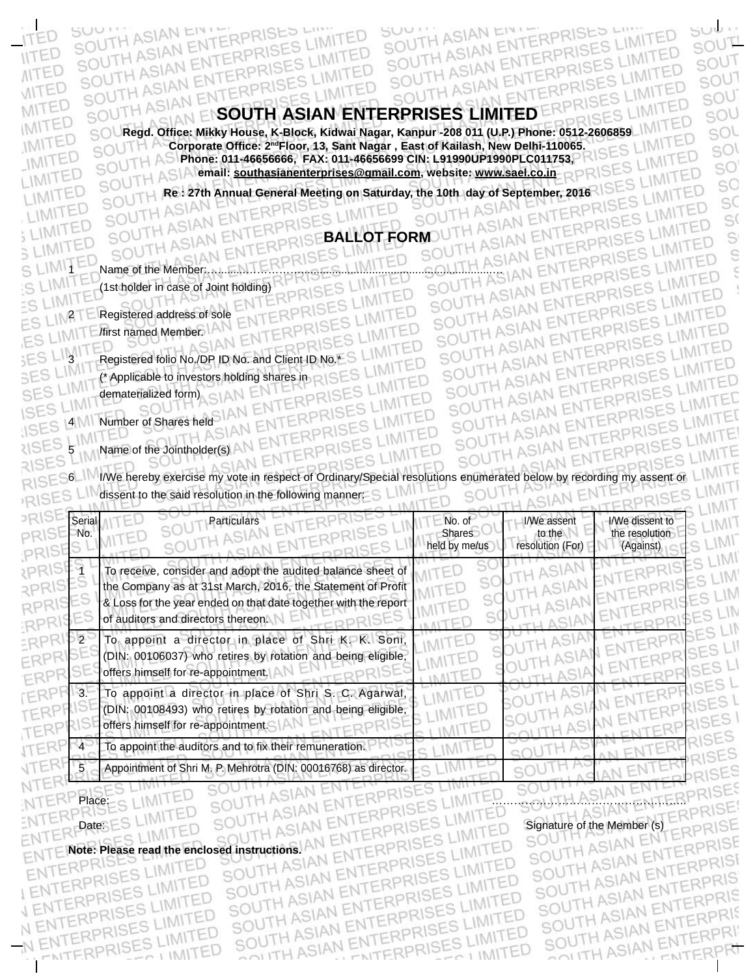SOUTH ASIAN ENTERPRISES LIMITED SOUTH ASIAN ENTERPRISES LIMITED SOUTH ASIAN ENTERPRISES LIMITED ES LIMITED

RPRISES LIMITED

ENTERPRISE

**Regd. Office: Mikky House, K-Block, Kidwai Nagar, Kanpur -208 011 (U.P.) Phone: 0512-2606859 IMITED**<br>SOUTH A Corporate Office: 2<sup>nd</sup>Floor, 13, Sant Nagar , East of Kailash, New Delhi-110065. **Corporate Office: 2ndFloor, 13, Sant Nagar , East of Kailash, New Delhi-110065. Phone: 011-46656666, FAX: 011-46656699 CIN: L91990UP1990PLC011753, Property Control of the State of the State of Control of the State of Control of Control of Control of Control of Control of Control of Control of Control email: southasianenterprises@gmail.com, website: www.sael.co.in** RPRISES LIMITED

51

SOUTH

SOUTH ASIAN ENTERPRISES

SOUTH ASIAN ENTERPRISES LIMITED

SUUTH ASIAN ENT

sub.

IMITED

IMITED

ENTERPRISES LIMITED

ENTERPRISES LIMITED

SOUTH ASIAN ENTERPRISES LIMITED<br>SOUTH ASIAN ENTERPRISES LIMITED<br>SOUTH ASIAN ENTERPRISES LIMITED

SOUTH ASIAN ENTERPRISES LIMIT SOUTH ASIAN ENTERPRISES LIMITED<br>SOUTH ASIAN ENTERPRISES LIMITED<br>SOUTH ASIAN ENTERPRISES LIMITED

SOUTH ASIAN ENTERPRISES LIMIT

SOUTH ASIAN ENTERPRISES LIMITED SOUTH ASIAN ENTERPRISES LIMITED

SOUTH ASIAN ENTERPRISES LIMITED

TH ASIAN ENTERPRISES<br>TH ASIAN ENTERPRISES LIMITH ASIAN ENTERPRISES LIMIT

RPRISES<br>RPRISES LIMIT

TED

 $500T$ 

SOUT

SOUT

SOU

SOU

sol

sol

SO

SO

SC

 $S($ 

S

Ŝ  $\epsilon$ 

 $\mathbf{I}$ 

SOUTH RE 27th Annual General Meeting on Saturday, the 10th day of September, 2016<br>SOUTH ASIAN ENTERPRISES LIMITED<br>SOUTH ASIAN ENTERPRISES LIMITED SOUTH ASIAN RISE**BALLOT FORM**OUTH ASIAN ENTERPRISES LIMITED

SIAN ENT 1 S LIMITED Name of the Member:<br>15 LIMITED 11st holder in case of Joint holding)<br>15 LIMITED 11st holder in case of Joint holding)<br>15 LIMITED SOUTH ASIAN ENTERPRISES LIMITED SOUTH ASIAN ENTERPRISES L<br>15 LIMITER Registered a (1st holder in case of Joint holding)<br>Registered this case of LNTERPRISES MITED

ASIAN ENTERPRI

2 Registered address of sole /first named Member.

SOUTH ASIAN ENTE

SUU !!

SC

**IITED** 

**NITED** 

WITED

MITED

IMITED

IMITED

IMITED

LIMITED

LIMITED

LIMITED

S LIMITED

3 LIMITED

SES LIMIT

 $2N1$ 

TH ASIAN ENTERPRISES SOUTH ASIAN ENTERPRISES LIMITED

3 Registered folio No. OP ID No. and Client ID No. 5 L<br>3 Registered folio No. OP ID No. and Client ID No. 5 L<br>3 Resistered folio Investors holding shares in the CLI RPRISES

(\* Applicable to investors holding shares in dematerialized form)

4 Number of Shares held

SISTES ANTED SOUTH ASIAN ENTERPRISE

RISES IV I/We hereby exercise my vote in respect of Ordinary/Special resolutions enumerated below by recording my assent or LIMITE<br>RISES LIMITES LIMITES LIMITES LIMITES SIAN EN SOU dissent to the said resolution in the following manner: S **UNAITED** 

IMITED

LIMITED

S LIMITED

IMITED

| Serial<br>No. | Particulars                                                                                                                                                                                                                         | No. of<br><b>Shares</b><br>held by me/us | I/We assent<br>to the<br>resolution (For) | I/We dissent to<br>the resolution<br>(Against) |  |
|---------------|-------------------------------------------------------------------------------------------------------------------------------------------------------------------------------------------------------------------------------------|------------------------------------------|-------------------------------------------|------------------------------------------------|--|
|               | To receive, consider and adopt the audited balance sheet of<br>the Company as at 31st March, 2016, the Statement of Profit<br>& Loss for the year ended on that date together with the report<br>of auditors and directors thereon. |                                          |                                           |                                                |  |
|               | To appoint a director in place of Shri K. K. Soni,<br>(DIN: 00106037) who retires by rotation and being eligible,<br>offers himself for re-appointment.                                                                             |                                          |                                           |                                                |  |
|               | To appoint a director in place of Shri S. C. Agarwal,<br>(DIN: 00108493) who retires by rotation and being eligible,<br>offers himself for re-appointment.                                                                          |                                          |                                           |                                                |  |
|               | To appoint the auditors and to fix their remuneration.                                                                                                                                                                              |                                          |                                           |                                                |  |
|               | Appointment of Shri M. P. Mehrotra (DIN: 00016768) as director.                                                                                                                                                                     |                                          |                                           |                                                |  |

NTERP

N ENTERPRISES L

ENT **Note: Please read the enclosed instructions.**EN

SOUTH ASIAN ENTERPRISES<br>SOUTH ASIAN ENTERPRISES<br>SOUTH ASIAN ENTERPRISES LENTERPRISES LIMITED SOUTH ASIAN ENTERPRIS<br>SOUTH ASIAN ENTERPRIS RPRISES ENTERPRISES LIMI SOUTH ASIAN ENT NTERPRISES LIMITED SES LIMITED SOUTH ASIAN ENT S HIMITED VENTERPRI

Place: S LIMITED SOUTH ASIAN ENTERPRISES LIMITED SOUTH ASIAN ENTERPRISE ru ASV Date: SUPPER SOUTH A CIAN ENTERPRISES FINITED Signature of the Member (s) SOUTH ASIAN ENTERPRISE SOUTH ASIAN ENTERPRIS<br>SOUTH ASIAN ENTERPRIS<br>SOUTH ASIAN ENTERPRIS SOUTH ASIAN ENTERPRIS<br>SOUTH ASIAN ENTERPRIS<br>SOUTH ASIAN ENTERPRIS SOUTH ASIAN ENTERPRIS<br>SOUTH ASIAN ENTERPRIS SOUTH ASIAN ENTERPRI N ENTERPRI C I IMITED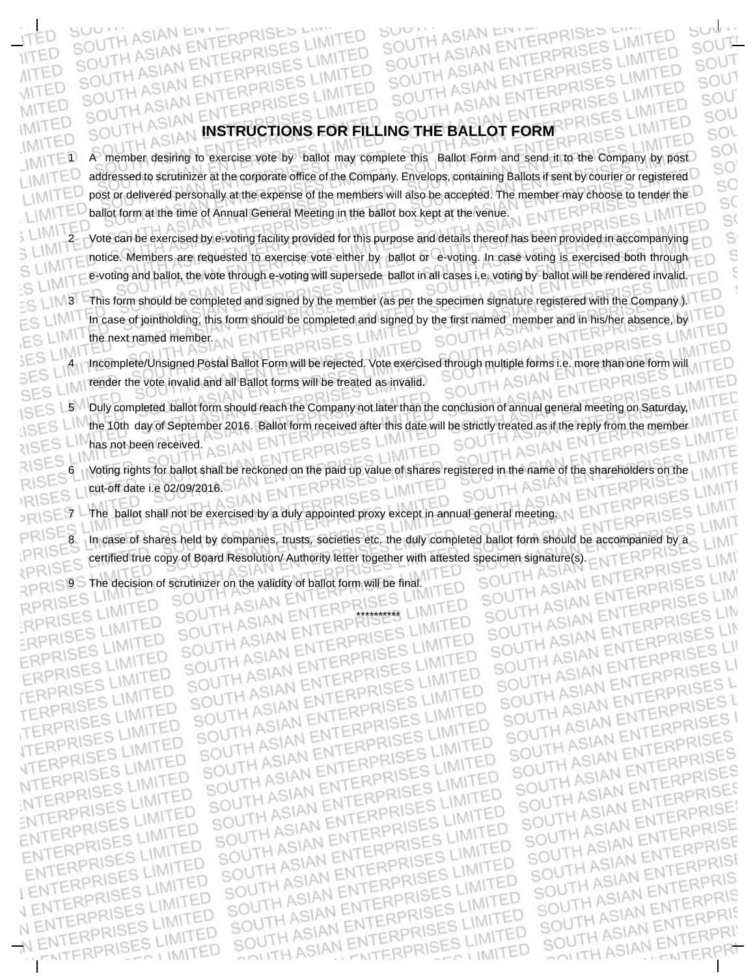# **INSTRUCTIONS FOR FILLING THE BALLOT FORM** ASIAN

1 A member desiring to exercise vote by ballot may complete this Ballot Form and send it to the Company by post addressed to scrutinizer at the corporate office of the Company. Envelops, containing Ballots if sent by courier or registered post or delivered personally at the expense of the members will also be accepted. The member may choose to tender the ballot form at the time of Annual General Meeting in the ballot box kept at the venue.

ASIAN

2 Vote can be exercised by e-voting facility provided for this purpose and details thereof has been provided in accompanying notice. Members are requested to exercise vote either by ballot or e-voting. In case voting is exercised both through e-voting and ballot, the vote through e-voting will supersede ballot in all cases i.e. voting by ballot will be rendered invalid.

13 This form should be completed and signed by the member (as per the specimen signature registered with the Company ). In case of jointholding, this form should be completed and signed by the first named member and in his/her absence, by the next named member.

4 Incomplete/Unsigned Postal Ballot Form will be rejected. Vote exercised through multiple forms i.e. more than one form will M A render the vote invalid and all Ballot forms will be treated as invalid. SO

5 Duly completed ballot form should reach the Company not later than the conclusion of annual general meeting on Saturday, the 10th day of September 2016. Ballot form received after this date will be strictly treated as if the reply from the member has not been received.

6 Voting rights for ballot shall be reckoned on the paid up value of shares registered in the name of the shareholders on the cut-off date i.e 02/09/2016.

 $\supset \mathbb{R} \setminus \mathbb{S} \mathbb{E}$  The ballot shall not be exercised by a duly appointed proxy except in annual general meeting.

In case of shares held by companies, trusts, societies etc. the duly completed ballot form should be accompanied by a certified true copy of Board Resolution/ Authority letter together with attested specimen signature(s).

\*\*\*\*\*\*\*\*\*\*

The decision of scrutinizer on the validity of ballot form will be final.

SC

ASIAN

**AITED** 

**VITED** 

MITED

IMITED

**RISES** コハ RISE

IM<sub>11</sub>

ASIAN

SO SIAN ASIAN<sub>E</sub>

ERPRIS ASIAN TERPRI ERPRI NTERPR EN1 ASIAN ERPF ASIAN ENT ASIAN ASIAN ASIAN ENTERP ASIAN SIAN ASIAN ENTE SIAN ENTERPRI NTERPRI

suu <u>.</u> SOUT

SOUT

SOUT

SOU

SOU

sol

SOI SO SC sC S( S Ŝ Ś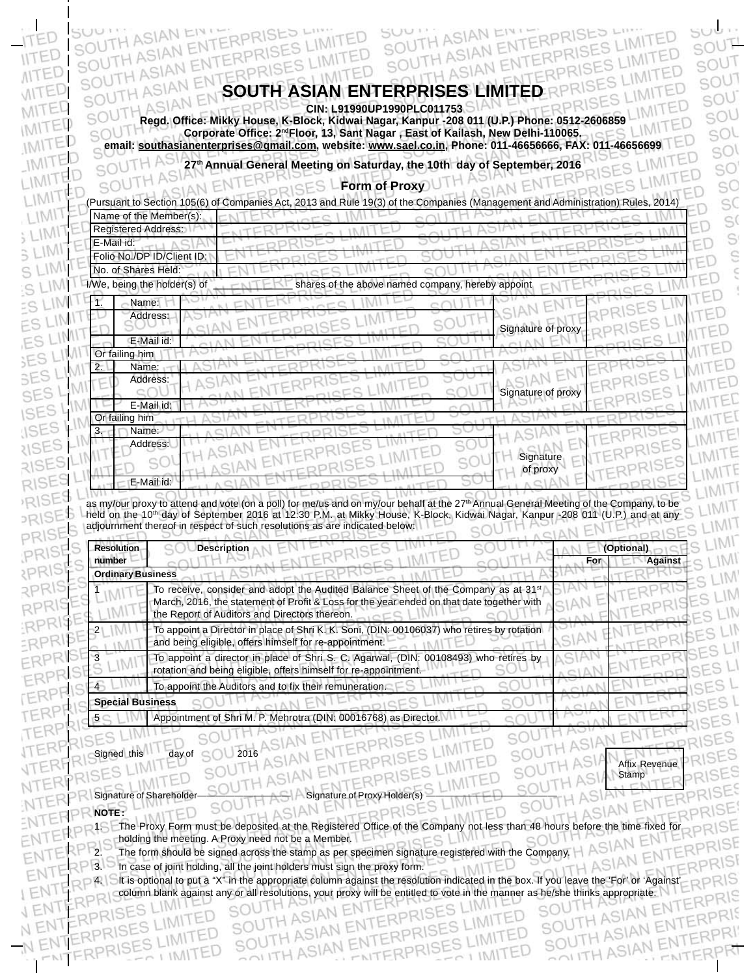# **SOUTH ASIAN ENTERPRISES LIMITED**

IMITED

SUUTH ASIAN EI

ASIAN

NTERP

ASIAN  **CIN: L91990UP1990PLC011753 Regd. Office: Mikky House, K-Block, Kidwai Nagar, Kanpur -208 011 (U.P.) Phone: 0512-2606859** -IM **Corporate Office: 2ndFloor, 13, Sant Nagar , East of Kailash, New Delhi-110065. email: southasianenterprises@gmail.com, vebsite: www.sael.co.in, Phone: 011-46656666, FAX: 011-46656699 TED**<br>Computer 27th Annual General Meeting on Saturday. the 10th day of Sentember 2016

**27th Annual General Meeting on Saturday, the 10th day of September, 2016**

**RISES** LForm of Proxy

|                            | Name of the Member(s):                                                                                                                                                                                                                                                                                                                                                                              |  | (Pursuant to Section 105(6) of Companies Act, 2013 and Rule 19(3) of the Companies (Management and Administration) Rules, 2014 |                    |            |                |
|----------------------------|-----------------------------------------------------------------------------------------------------------------------------------------------------------------------------------------------------------------------------------------------------------------------------------------------------------------------------------------------------------------------------------------------------|--|--------------------------------------------------------------------------------------------------------------------------------|--------------------|------------|----------------|
| <b>Registered Address:</b> |                                                                                                                                                                                                                                                                                                                                                                                                     |  |                                                                                                                                |                    |            |                |
| E-Mail id:                 |                                                                                                                                                                                                                                                                                                                                                                                                     |  |                                                                                                                                |                    |            |                |
|                            | Folio No./DP ID/Client ID:                                                                                                                                                                                                                                                                                                                                                                          |  |                                                                                                                                |                    |            |                |
| No. of Shares Held:        |                                                                                                                                                                                                                                                                                                                                                                                                     |  |                                                                                                                                |                    |            |                |
|                            | I/We, being the holder(s) of                                                                                                                                                                                                                                                                                                                                                                        |  | shares of the above named company, hereby appoint                                                                              |                    |            |                |
|                            | Name:                                                                                                                                                                                                                                                                                                                                                                                               |  |                                                                                                                                |                    |            |                |
|                            | Address:                                                                                                                                                                                                                                                                                                                                                                                            |  |                                                                                                                                |                    |            |                |
|                            |                                                                                                                                                                                                                                                                                                                                                                                                     |  |                                                                                                                                | Signature of proxy |            |                |
| Or failing him             | E-Mail id:                                                                                                                                                                                                                                                                                                                                                                                          |  |                                                                                                                                |                    |            |                |
| $2^{-}$                    | Name:                                                                                                                                                                                                                                                                                                                                                                                               |  |                                                                                                                                |                    |            |                |
|                            | Address:                                                                                                                                                                                                                                                                                                                                                                                            |  |                                                                                                                                |                    |            |                |
|                            |                                                                                                                                                                                                                                                                                                                                                                                                     |  |                                                                                                                                | Signature of proxy |            |                |
|                            | E-Mail id:                                                                                                                                                                                                                                                                                                                                                                                          |  |                                                                                                                                |                    |            |                |
| Or failing him             |                                                                                                                                                                                                                                                                                                                                                                                                     |  |                                                                                                                                |                    |            |                |
| з.                         | Name:                                                                                                                                                                                                                                                                                                                                                                                               |  |                                                                                                                                |                    |            |                |
|                            | Address:                                                                                                                                                                                                                                                                                                                                                                                            |  |                                                                                                                                |                    |            |                |
|                            |                                                                                                                                                                                                                                                                                                                                                                                                     |  |                                                                                                                                |                    |            |                |
|                            |                                                                                                                                                                                                                                                                                                                                                                                                     |  |                                                                                                                                | Signature          |            |                |
|                            | E-Mail id:                                                                                                                                                                                                                                                                                                                                                                                          |  |                                                                                                                                | of proxy           |            |                |
| <b>Resolution</b>          | as my/our proxy to attend and vote (on a poll) for me/us and on my/our behalf at the 27 <sup>th</sup> Annual General Meeting of the Company, to be<br>held on the 10 <sup>th</sup> day of September 2016 at 12:30 P.M. at Mikky House, K-Block, Kidwai Nagar, Kanpur -208 011 (U.P.) and at any<br>adjournment thereof in respect of such resolutions as are indicated below:<br><b>Description</b> |  |                                                                                                                                |                    | (Optional) |                |
| number                     |                                                                                                                                                                                                                                                                                                                                                                                                     |  |                                                                                                                                |                    | For        | <b>Against</b> |
| <b>Ordinary Business</b>   |                                                                                                                                                                                                                                                                                                                                                                                                     |  |                                                                                                                                |                    |            |                |
|                            | To receive, consider and adopt the Audited Balance Sheet of the Company as at 31 <sup>st</sup><br>March, 2016, the statement of Profit & Loss for the year ended on that date together with                                                                                                                                                                                                         |  |                                                                                                                                |                    |            |                |
|                            | the Report of Auditors and Directors thereon.                                                                                                                                                                                                                                                                                                                                                       |  |                                                                                                                                |                    |            |                |
|                            | To appoint a Director in place of Shri K. K. Soni, (DIN: 00106037) who retires by rotation                                                                                                                                                                                                                                                                                                          |  |                                                                                                                                |                    |            |                |
|                            | and being eligible, offers himself for re-appointment.                                                                                                                                                                                                                                                                                                                                              |  |                                                                                                                                |                    |            |                |
|                            | To appoint a director in place of Shri S. C. Agarwal, (DIN: 00108493) who retires by<br>rotation and being eligible, offers himself for re-appointment.                                                                                                                                                                                                                                             |  |                                                                                                                                |                    |            |                |
|                            | To appoint the Auditors and to fix their remuneration.                                                                                                                                                                                                                                                                                                                                              |  |                                                                                                                                |                    |            |                |
| <b>Special Business</b>    |                                                                                                                                                                                                                                                                                                                                                                                                     |  |                                                                                                                                |                    |            |                |

Signed this day of SOU 2016

D

**IITED** 

**NITED** 

VITED

MITEL

IMITED

IMITED

IMITED

LIMITED

LIMIT

**LIMI** 

SLIMI

LIMI

LIM

LIM

 $=$ SLIM

ES LIP

ES LI

**SESL** 

SES<sub>L</sub>

SES

**ISES** 

**JSES** 

**RISES** 

RISE

RISE

PRISE

PRISI

PRIS

**PRIS** 

**RRIS** 

RPRIS

RPRI

ERPR

ERPR

ERPF

**FERPI** 

TERP

TERP

ENI EN1

N

R

IMITED Signature of Shareholder—————————— Signature of Proxy Holder(s) ——————————————

 $IMII$ 

**NOTE :**

1. The Proxy Form must be deposited at the Registered Office of the Company not less than 48 hours before the time fixed for holding the meeting. A Proxy need not be a Member. holding the meeting. A Proxy need not be a Member.

**DPR** 

IMITE

TED

IMITED

IMI

Affix Revenue **Stamp** 

AN ENTERPRIS

 $\mathbf l$ 

ENTE NTER

١C

SIAN

suu

 $50UT$ 

SOUT

SOUT

SOU

SOU

sol

sol

SO

sO

IMITED

TED

TED

IMITED

The form should be signed across the stamp as per specimen signature registered with the Company.  $\Box$  In case of joint holding, all the joint holders must sign the proxy form.

ASIAN

**3.** In case of joint holding, all the joint holders must sign the proxy form.

JTHI

ASIAN

4. It is optional to put a "X" in the appropriate column against the resolution indicated in the box. If you leave the 'For' or 'Against' column blank against any or all resolutions, your proxy will be entitled to vote in the manner as he/she thinks appropriate.IMILE SOUTH! **JTH ASIAN EN**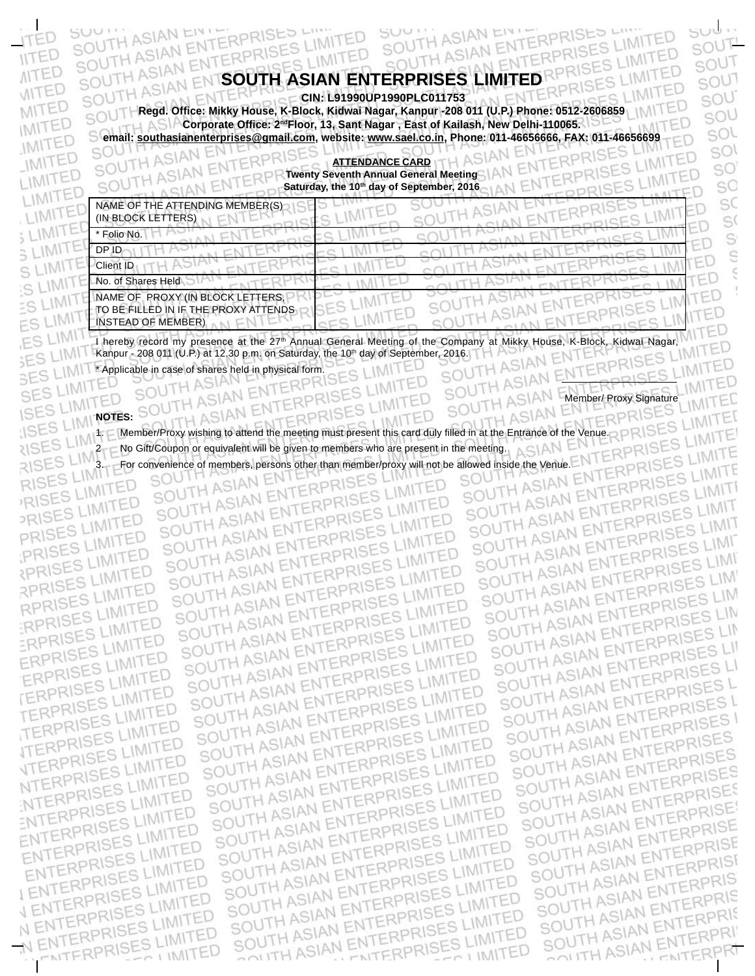## SOUTH ASIAN ENTERPRISES LIMITED SOUTH ASIAN ENTERPRISES SIAN ENTERPRISES ERPRISES LIMITED ISES LIMITE SOUTH ASIAN ENT

**Regd. Office: Mikky House, K-Block, Kidwai Nagar, Kanpur -208 011 (U.P.) Phone: 0512-2606859 CIN: L91990UP1990PLC011753** sou **Corporate Office: 2<sup>nd</sup>Floor, 13, Sant Nagar , East of Kailash, New Delhi-110065.** 

SUU I'LL ASIAN ENT

TH ASIAN

**ASIANE** 

ASIAN

**email: southasianenterprises@gmail.com, website: www.sael.co.in, Phone: 011-46656666, FAX: 011-46656699**<br>SOUTH ASIAN ENTERPRISES<br>SOUTH ASIAN ENTERPRISES **ATTENDANCE CARD Twenty Seventh Annual General Meeting Saturday, the 10th day of September, 2016**

| NAME OF THE ATTENDING MEMBER(S)<br>(IN BLOCK LETTERS)                                                                 |
|-----------------------------------------------------------------------------------------------------------------------|
| * Folio No.                                                                                                           |
| DP ID                                                                                                                 |
| <b>Client ID</b>                                                                                                      |
| No. of Shares Held                                                                                                    |
| NAME OF PROXY (IN BLOCK LETTERS,                                                                                      |
| TO BE FILLED IN IF THE PROXY ATTENDS                                                                                  |
| <b>INSTEAD OF MEMBER)</b>                                                                                             |
| boroby recept my presence at the 27th Annual General Meeting of the Company at Mikky House<br>Kidwai Nagar<br>K Plock |

I hereby record my presence at the 27<sup>th</sup> Annual General Meeting of the Company at Mikky House, K-Block, Kidwai Nagar,<br>Kanpur - 208 011 (U.P.) at 12.30 p.m. on Saturday, the 10<sup>th</sup> day of September, 2016. Kanpur - 208 011 (U.P.) at 12.30 p.m. on Saturday, the 10<sup>th</sup> day of September, 2016.<br>
F.S. L. M. T. Applicable in case of shares held in physical form.

IMITED

ES LIMIT

HASIAN

TERPRISES LIMITED

TERPRISES LIMITED

**TERPRISES LIMITED** 

VERPRISES LIMITED

NTERPRISES LIMITED

NTERPRISES<br>ENTERPRISES LIMITED

ENTERPRISES LIMITED

ENTERPRISES LIMITED

ENTERPRISES LIMITED

ENTERPRISES LIMITED

ENTERPRISES LIMITED

VENTERPRISES LIMITED

ENTERPRISES LIMITED

ENTERPRISES LIMITED

 $201$  M/TED

SOU IN

Member/ Proxy Signature<br>
ERPRISES 1. Member/Proxy wishing to attend the meeting must present this card duly filled in at the Entrance of the Venue. 2 No Gift/Coupon or equivalent will be given to members who are present in the meeting. 3. For convenience of members, persons other than member/proxy will not be allowed inside the Venue.

TERPRI

SOUTH ASIAN ENTERPRISES LIMITED<br>SOUTH ASIAN ENTERPRISES LIMITED<br>SOUTH ASIAN ENTERPRISES LIMITED

SOUTH ASIAN ENTERPRISES LIMITED

SOUTH ASIAN ENTERPRISES LIMITED<br>SOUTH ASIAN ENTERPRISES LIMITED<br>SOUTH ASIAN ENTERPRISES LIMITED

SOUTH ASIAN ENTERPRISES LIMITED<br>SOUTH ASIAN ENTERPRISES LIMITED<br>SOUTH ASIAN ENTERPRISES LIMITED

SOUTH ASIAN ENTERPRISES LIMITED<br>SOUTH ASIAN ENTERPRISES LIMITED<br>SOUTH ASIAN ENTERPRISES LIMITED

SOUTH ASIAN ENTERPRISES LIMITED

SOUTH ASIAN ENTERPRISES LIMITED

SOUTH ASIAN ENTERPRISES LIMITED

SOUTH ASIAN ENTERPRISES LIMITED

SOUTH ASIAN ENTERPRISES LIMITED<br>SOUTH ASIAN ENTERPRISES LIMITED<br>SOUTH ASIAN ENTERPRISES LIMITED

SOUTH ASIAN ENTERPRISES LIMITED<br>SOUTH ASIAN ENTERPRISES LIMITED<br>SOUTH ASIAN ENTERPRISES LIMITED

SOUTH ASIAN ENTERPRISES LIMITED

SOUTH ASIAN ENTERPRISES LIMITED

SOUTH ASIAN ENTERPRISES LIMITED

SOUTH ASIAN ENTERPRISES LIMITED

SOUTH ASIAN ENTERPRISES<br>SOUTH ASIAN ENTERPRISES<br>SOUTH ASIAN ENTERPRISES

SOUTH ASIAN ENTERPRISES

SOUTH ASIAN ENTERPRISES LIMITE SOUTH ASIAN ENTERPRISES LIMIT SOUTH ASIAN ENTERPRISES LIMIT SOUTH ASIAN ENTERPRISES LIMITED AND THE REPRISES LIMITED AND ENTERPRISES LIMITED AND MANY ENTERPRISES LIMITED AND MANY ENTERPRISES LIMITED AND MANY ENTERPRISES LIMITED AND MANY ENTERPRISES LIMITED AND MANY ENTERPRISES LIMI SOUTH ASIAN ENTERPRISES LIMITED AND THE SAME ENTERPRISES LIMITED AND THE SAME ENTERPRISES LIMITED AND MANY ENTERPRISES LIMITED AND MANY ENTERPRISES LIMITED AND MANY ENTERPRISES LIMITED AND MANY ENTERPRISES LIMITED AND MANY SOUTH ASIAN ENTERPRISES LIM SOUTH ASIAN ENTERPRISES LIM<br>SOUTH ASIAN ENTERPRISES LIM<br>SOUTH ASIAN ENTERPRISES LIM SOUTH ASIAN ENTERPRISES LINE SOUTH ASIAN ENTERPRISES LINE SOUTH ASIAN ENTERPRISES LIS<br>SOUTH ASIAN ENTERPRISES LIS<br>SOUTH ASIAN ENTERPRISES L SOUTH ASIAN ENTERPRISES LI SOUTH ASIAN ENTERPRISES L<br>SOUTH ASIAN ENTERPRISES L<br>SOUTH ASIAN ENTERPRISES L SOUTH ASIAN ENTERPRISES L<br>SOUTH ASIAN ENTERPRISES L<br>SOUTH ASIAN ENTERPRISES SOUTH ASIAN ENTERPRISES SOUTH ASIAN ENTERPRISES<br>SOUTH ASIAN ENTERPRISES<br>SOUTH ASIAN ENTERPRISES SOUTH ASIAN ENTERPRISES<br>SOUTH ASIAN ENTERPRISES<br>SOUTH ASIAN ENTERPRISES SOUTH ASIAN ENTERPRISES SOUTH ASIAN ENTERPRISES LIMITED<br>SOUTH ASIAN ENTERPRISES LIMITED<br>SOUTH ASIAN ENTERPRISES LIMITED SOUTH ASIAN ENTERPRISES SOUTH ASIAN ENTERPRISES LIMITED SOUTH ASIAN ENTERPRISES LIMITED<br>SOUTH ASIAN ENTERPRISES LIMITED<br>SOUTH ASIAN ENTERPRISES LIMITED SOUTH ASIAN ENTERPRISE SOUTH ASIAN ENTERPRISE SOUTH ASIAN ENTERPRISES LIMITED<br>SOUTH ASIAN ENTERPRISES LIMITED<br>SOUTH ASIAN ENTERPRISES LIMITED SOUTH ASIAN ENTERPRISE SOUTH ASIAN ENTERPRISES LIMITED<br>SOUTH ASIAN ENTERPRISES LIMITED<br>SOUTH ASIAN ENTERPRISES LIMITED SOUTH ASIAN ENTERPRISE SOUTH ASIAN ENTERPRISES LIMITED SOUTH ASIAN ENTERPRIS<br>SOUTH ASIAN ENTERPRIS<br>SOUTH ASIAN ENTERPRIS SOUTH ASIAN ENTERPRISES LIMITED SOUTH ASIAN ENTERPRISES LIMITED<br>SOUTH ASIAN ENTERPRISES LIMITED<br>SOUTH ASIAN ENTERPRISES LIMITED SOUTH ASIAN ENTERPRIS<br>SOUTH ASIAN ENTERPRIS<br>SOUTH ASIAN ENTERPRIS SOUTH ASIAN ENTERPRIS<br>SOUTH ASIAN ENTERPRIS<br>SOUTH ASIAN ENTERPRI SOUTH ASIAN ENTERPRISES LIMITED SOUTH ASIAN ENTERPRIT ENTERPRISES LIMITED N ENTERPRI ED LIMITED

Fki

**SUML** 

 $50UT$ 

SOUT

SOUT

SOU

SOU

sol

**SOI** 

SO

SO

SC

S(

S

S

ć

LIMITED

LIMITED